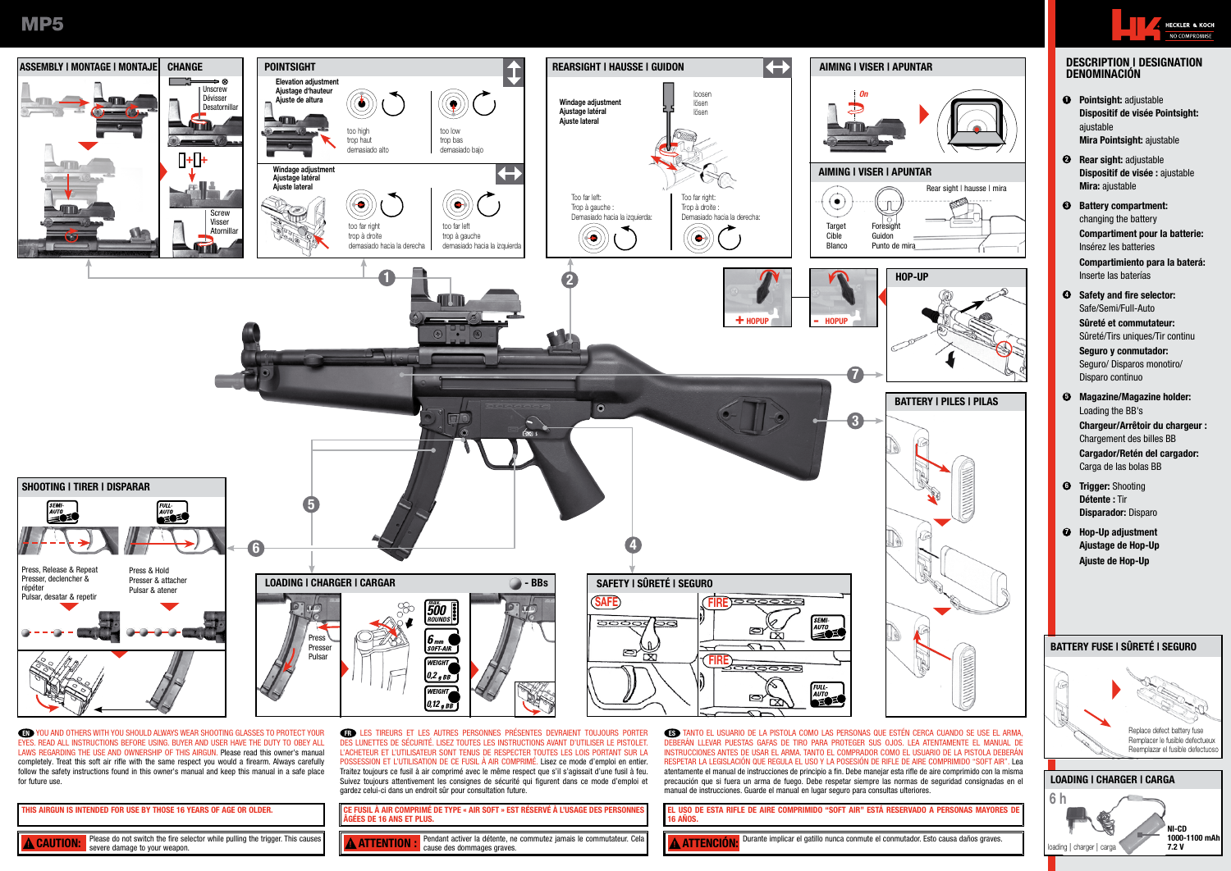**MP5** 



L'ACHETEUR ET L'UTILISATEUR SONT TENUS DE RESPECTER TOUTES LES LOIS PORTANT SUR LA POSSESSION ET L'UTILISATION DE CE FUSIL À AIR COMPRIMÉ. Lisez ce mode d'emploi en entier. Traitez toujours ce fusil à air comprimé avec le même respect que s'il s'agissait d'une fusil à feu. Suivez toujours attentivement les consignes de sécurité qui figurent dans ce mode d'emploi et

EYES. READ ALL INSTRUCTIONS BEFORE USING. BUYER AND USER HAVE THE DUTY TO OBEY ALL LAWS REGARDING THE USE AND OWNERSHIP OF THIS AIRGUN. Please read this owner's manual completely. Treat this soft air rifle with the same respect you would a firearm. Always carefully follow the safety instructions found in this owner's manual and keep this manual in a safe place for future use.

|                                                                                                                                     | gardez celui-ci dans un endroit sûr pour consultation future.                                                           |
|-------------------------------------------------------------------------------------------------------------------------------------|-------------------------------------------------------------------------------------------------------------------------|
|                                                                                                                                     | <b>CE FUSIL À AIR COMPRIMÉ DE TYPE « AIR SOFT » EST RÉSERVÉ À L'USAGE DES PERSONNES</b><br>l âgées de 16 ans et plus.   |
| Please do not switch the fire selector while pulling the trigger. This causes<br><b>A CAUTION:</b><br>severe damage to your weapon. | Pendant activer la détente, ne commutez jamais le commutateur. Cela<br><b>A ATTENTION</b><br>cause des dommages graves. |

DEBERÁN LLEVAR PUESTAS GAFAS DE TIRO PARA PROTEGER SUS OJOS. LEA ATENTAMENTE EL MANUAL DE INSTRUCCIONES ANTES DE USAR EL ARMA. TANTO EL COMPRADOR COMO EL USUARIO DE LA PISTOLA DEBERÁN RESPETAR LA LEGISLACIÓN QUE REGULA EL USO Y LA POSESIÓN DE RIFLE DE AIRE COMPRIMIDO "SOFT AIR". Lea atentamente el manual de instrucciones de principio a fin. Debe manejar esta rifle de aire comprimido con la misma precaución que si fuera un arma de fuego. Debe respetar siempre las normas de seguridad consignadas en el manual de instrucciones. Guarde el manual en lugar seguro para consultas ulteriores.

EL USO DE ESTA RIFLE DE AIRE COMPRIMIDO "SOFT AIR" ESTÁ RESERVADO A PERSONAS MAYORES DE 16 AÑOS.

**A ATTENCIÓN:** Durante implicar el gatillo nunca conmute el conmutador. Esto causa daños graves.

## DESCRIPTION | DESIGNATION DENOMINACIÓN

**HECKLER & KOCH** NO COMPROMISE

- **<sup>O</sup>** Pointsight: adjustable Dispositif de visée Pointsight: Mira Pointsight: ajustable
- <sup>2</sup> Rear sight: adjustable Dispositif de visée : ajustable Mira: ajustable
- **3** Battery compartment: changing the battery Compartiment pour la batterie: Insérez les batteries
	- Compartimiento para la baterá: Inserte las baterías
- **4** Safety and fire selector: Safe/Semi/Full-Auto

Sûreté et commutateur: Sûreté/Tirs uniques/Tir continu

Seguro y conmutador: Seguro/ Disparos monotiro/ Disparo continuo

- 5 Magazine/Magazine holder: Loading the BB's Chargeur/Arrêtoir du chargeur : Chargement des billes BB Cargador/Retén del cargador:
- Carga de las bolas BB **6 Trigger: Shooting**
- Disparador: Disparo
- **<sup>O</sup>** Hop-Up adjustment Ajustage de Hop-Up Ajuste de Hop-Up

# Replace defect battery fuse Remplacer le fusible defectueux Reemplazar el fusible defectuoso